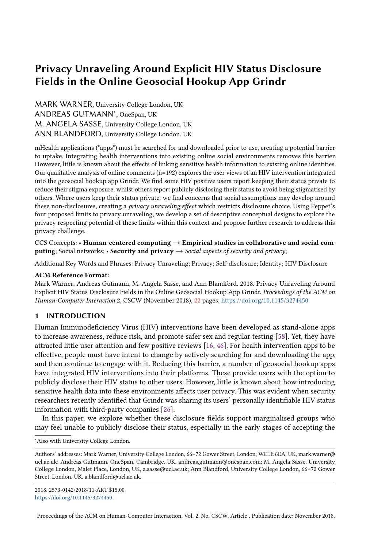MARK WARNER, University College London, UK ANDREAS GUTMANN<sup>∗</sup> , OneSpan, UK M. ANGELA SASSE, University College London, UK ANN BLANDFORD, University College London, UK

mHealth applications ("apps") must be searched for and downloaded prior to use, creating a potential barrier to uptake. Integrating health interventions into existing online social environments removes this barrier. However, little is known about the effects of linking sensitive health information to existing online identities. Our qualitative analysis of online comments (n=192) explores the user views of an HIV intervention integrated into the geosocial hookup app Grindr. We find some HIV positive users report keeping their status private to reduce their stigma exposure, whilst others report publicly disclosing their status to avoid being stigmatised by others. Where users keep their status private, we find concerns that social assumptions may develop around these non-disclosures, creating a privacy unraveling effect which restricts disclosure choice. Using Peppet's four proposed limits to privacy unraveling, we develop a set of descriptive conceptual designs to explore the privacy respecting potential of these limits within this context and propose further research to address this privacy challenge.

CCS Concepts: • Human-centered computing  $\rightarrow$  Empirical studies in collaborative and social computing; Social networks; • Security and privacy  $\rightarrow$  Social aspects of security and privacy;

Additional Key Words and Phrases: Privacy Unraveling; Privacy; Self-disclosure; Identity; HIV Disclosure

## ACM Reference Format:

Mark Warner, Andreas Gutmann, M. Angela Sasse, and Ann Blandford. 2018. Privacy Unraveling Around Explicit HIV Status Disclosure Fields in the Online Geosocial Hookup App Grindr. Proceedings of the ACM on Human-Computer Interaction 2, CSCW (November 2018), [22](#page-21-0) pages. <https://doi.org/10.1145/3274450>

# 1 INTRODUCTION

Human Immunodeficiency Virus (HIV) interventions have been developed as stand-alone apps to increase awareness, reduce risk, and promote safer sex and regular testing [\[58\]](#page-20-0). Yet, they have attracted little user attention and few positive reviews [\[16,](#page-18-0) [46\]](#page-19-0). For health intervention apps to be effective, people must have intent to change by actively searching for and downloading the app, and then continue to engage with it. Reducing this barrier, a number of geosocial hookup apps have integrated HIV interventions into their platforms. These provide users with the option to publicly disclose their HIV status to other users. However, little is known about how introducing sensitive health data into these environments affects user privacy. This was evident when security researchers recently identified that Grindr was sharing its users' personally identifiable HIV status information with third-party companies [\[26\]](#page-19-1).

In this paper, we explore whether these disclosure fields support marginalised groups who may feel unable to publicly disclose their status, especially in the early stages of accepting the

<sup>∗</sup>Also with University College London.

2018. 2573-0142/2018/11-ART \$15.00 <https://doi.org/10.1145/3274450>

Proceedings of the ACM on Human-Computer Interaction, Vol. 2, No. CSCW, Article . Publication date: November 2018.

Authors' addresses: Mark Warner, University College London, 66–72 Gower Street, London, WC1E 6EA, UK, mark.warner@ ucl.ac.uk; Andreas Gutmann, OneSpan, Cambridge, UK, andreas.gutmann@onespan.com; M. Angela Sasse, University College London, Malet Place, London, UK, a.sasse@ucl.ac.uk; Ann Blandford, University College London, 66–72 Gower Street, London, UK, a.blandford@ucl.ac.uk.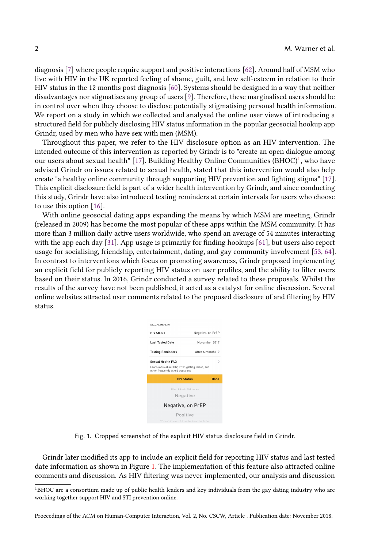diagnosis [\[7\]](#page-18-1) where people require support and positive interactions [\[62\]](#page-20-1). Around half of MSM who live with HIV in the UK reported feeling of shame, guilt, and low self-esteem in relation to their HIV status in the 12 months post diagnosis [\[60\]](#page-20-2). Systems should be designed in a way that neither disadvantages nor stigmatises any group of users [\[9\]](#page-18-2). Therefore, these marginalised users should be in control over when they choose to disclose potentially stigmatising personal health information. We report on a study in which we collected and analysed the online user views of introducing a structured field for publicly disclosing HIV status information in the popular geosocial hookup app Grindr, used by men who have sex with men (MSM).

Throughout this paper, we refer to the HIV disclosure option as an HIV intervention. The intended outcome of this intervention as reported by Grindr is to "create an open dialogue among our users about sexual health" [\[17\]](#page-18-3). Building Healthy Online Communities (BHOC)<sup>[1](#page-1-0)</sup>, who have advised Grindr on issues related to sexual health, stated that this intervention would also help create "a healthy online community through supporting HIV prevention and fighting stigma" [\[17\]](#page-18-3). This explicit disclosure field is part of a wider health intervention by Grindr, and since conducting this study, Grindr have also introduced testing reminders at certain intervals for users who choose to use this option [\[16\]](#page-18-0).

<span id="page-1-1"></span>With online geosocial dating apps expanding the means by which MSM are meeting, Grindr (released in 2009) has become the most popular of these apps within the MSM community. It has more than 3 million daily active users worldwide, who spend an average of 54 minutes interacting with the app each day [\[31\]](#page-19-2). App usage is primarily for finding hookups [\[61\]](#page-20-3), but users also report usage for socialising, friendship, entertainment, dating, and gay community involvement [\[53,](#page-20-4) [64\]](#page-20-5). In contrast to interventions which focus on promoting awareness, Grindr proposed implementing an explicit field for publicly reporting HIV status on user profiles, and the ability to filter users based on their status. In 2016, Grindr conducted a survey related to these proposals. Whilst the results of the survey have not been published, it acted as a catalyst for online discussion. Several online websites attracted user comments related to the proposed disclosure of and filtering by HIV status.



Fig. 1. Cropped screenshot of the explicit HIV status disclosure field in Grindr.

Grindr later modified its app to include an explicit field for reporting HIV status and last tested date information as shown in Figure [1.](#page-1-1) The implementation of this feature also attracted online comments and discussion. As HIV filtering was never implemented, our analysis and discussion

Proceedings of the ACM on Human-Computer Interaction, Vol. 2, No. CSCW, Article . Publication date: November 2018.

<span id="page-1-0"></span><sup>&</sup>lt;sup>1</sup>BHOC are a consortium made up of public health leaders and key individuals from the gay dating industry who are working together support HIV and STI prevention online.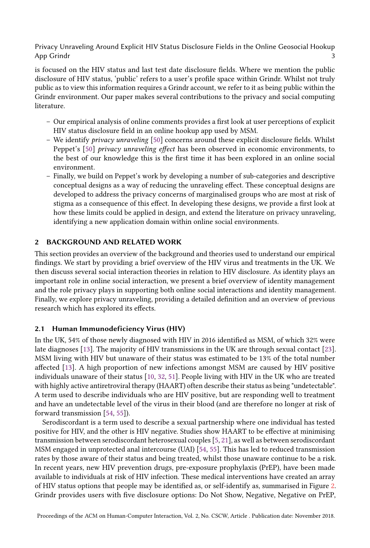Privacy Unraveling Around Explicit HIV Status Disclosure Fields in the Online Geosocial Hookup App Grindr 3 and 3 and 3 and 3 and 3 and 3 and 3 and 3 and 3 and 3 and 3 and 3 and 3 and 3 and 3 and 3 and 3 and 3 and 3 and 3 and 3 and 3 and 3 and 3 and 3 and 3 and 3 and 3 and 3 and 3 and 3 and 3 and 3 and 3 and 3 and 3

is focused on the HIV status and last test date disclosure fields. Where we mention the public disclosure of HIV status, 'public' refers to a user's profile space within Grindr. Whilst not truly public as to view this information requires a Grindr account, we refer to it as being public within the Grindr environment. Our paper makes several contributions to the privacy and social computing literature.

- Our empirical analysis of online comments provides a first look at user perceptions of explicit HIV status disclosure field in an online hookup app used by MSM.
- We identify privacy unraveling [\[50\]](#page-19-3) concerns around these explicit disclosure fields. Whilst Peppet's [\[50\]](#page-19-3) privacy unraveling effect has been observed in economic environments, to the best of our knowledge this is the first time it has been explored in an online social environment.
- Finally, we build on Peppet's work by developing a number of sub-categories and descriptive conceptual designs as a way of reducing the unraveling effect. These conceptual designs are developed to address the privacy concerns of marginalised groups who are most at risk of stigma as a consequence of this effect. In developing these designs, we provide a first look at how these limits could be applied in design, and extend the literature on privacy unraveling, identifying a new application domain within online social environments.

# 2 BACKGROUND AND RELATED WORK

This section provides an overview of the background and theories used to understand our empirical findings. We start by providing a brief overview of the HIV virus and treatments in the UK. We then discuss several social interaction theories in relation to HIV disclosure. As identity plays an important role in online social interaction, we present a brief overview of identity management and the role privacy plays in supporting both online social interactions and identity management. Finally, we explore privacy unraveling, providing a detailed definition and an overview of previous research which has explored its effects.

# 2.1 Human Immunodeficiency Virus (HIV)

In the UK, 54% of those newly diagnosed with HIV in 2016 identified as MSM, of which 32% were late diagnoses [\[13\]](#page-18-4). The majority of HIV transmissions in the UK are through sexual contact [\[23\]](#page-18-5). MSM living with HIV but unaware of their status was estimated to be 13% of the total number affected [\[13\]](#page-18-4). A high proportion of new infections amongst MSM are caused by HIV positive individuals unaware of their status [\[10,](#page-18-6) [32,](#page-19-4) [51\]](#page-20-6). People living with HIV in the UK who are treated with highly active antiretroviral therapy (HAART) often describe their status as being "undetectable". A term used to describe individuals who are HIV positive, but are responding well to treatment and have an undetectable level of the virus in their blood (and are therefore no longer at risk of forward transmission [\[54,](#page-20-7) [55\]](#page-20-8)).

Serodiscordant is a term used to describe a sexual partnership where one individual has tested positive for HIV, and the other is HIV negative. Studies show HAART to be effective at minimising transmission between serodiscordant heterosexual couples [\[5,](#page-18-7) [21\]](#page-18-8), as well as between serodiscordant MSM engaged in unprotected anal intercourse (UAI) [\[54,](#page-20-7) [55\]](#page-20-8). This has led to reduced transmission rates by those aware of their status and being treated, whilst those unaware continue to be a risk. In recent years, new HIV prevention drugs, pre-exposure prophylaxis (PrEP), have been made available to individuals at risk of HIV infection. These medical interventions have created an array of HIV status options that people may be identified as, or self-identify as, summarised in Figure [2.](#page-3-0) Grindr provides users with five disclosure options: Do Not Show, Negative, Negative on PrEP,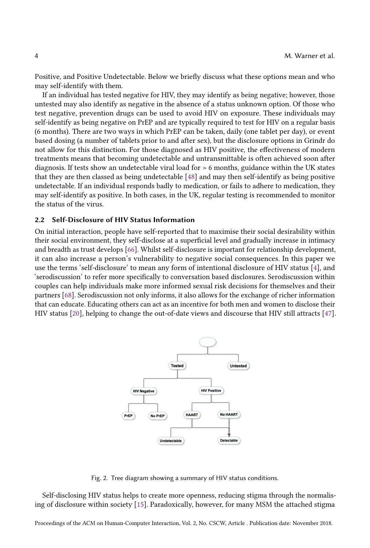Positive, and Positive Undetectable. Below we briefly discuss what these options mean and who may self-identify with them.

If an individual has tested negative for HIV, they may identify as being negative; however, those untested may also identify as negative in the absence of a status unknown option. Of those who test negative, prevention drugs can be used to avoid HIV on exposure. These individuals may self-identify as being negative on PrEP and are typically required to test for HIV on a regular basis (6 months). There are two ways in which PrEP can be taken, daily (one tablet per day), or event based dosing (a number of tablets prior to and after sex), but the disclosure options in Grindr do not allow for this distinction. For those diagnosed as HIV positive, the effectiveness of modern treatments means that becoming undetectable and untransmittable is often achieved soon after diagnosis. If tests show an undetectable viral load for > 6 months, guidance within the UK states that they are then classed as being undetectable [\[48\]](#page-19-5) and may then self-identify as being positive undetectable. If an individual responds badly to medication, or fails to adhere to medication, they may self-identify as positive. In both cases, in the UK, regular testing is recommended to monitor the status of the virus.

#### 2.2 Self-Disclosure of HIV Status Information

On initial interaction, people have self-reported that to maximise their social desirability within their social environment, they self-disclose at a superficial level and gradually increase in intimacy and breadth as trust develops [\[66\]](#page-20-9). Whilst self-disclosure is important for relationship development, it can also increase a person's vulnerability to negative social consequences. In this paper we use the terms 'self-disclosure' to mean any form of intentional disclosure of HIV status [\[4\]](#page-18-9), and 'serodiscussion' to refer more specifically to conversation based disclosures. Serodiscussion within couples can help individuals make more informed sexual risk decisions for themselves and their partners [\[68\]](#page-20-10). Serodiscussion not only informs, it also allows for the exchange of richer information that can educate. Educating others can act as an incentive for both men and women to disclose their HIV status [\[20\]](#page-18-10), helping to change the out-of-date views and discourse that HIV still attracts [\[47\]](#page-19-6).

<span id="page-3-0"></span>

Fig. 2. Tree diagram showing a summary of HIV status conditions.

Self-disclosing HIV status helps to create more openness, reducing stigma through the normalising of disclosure within society [\[15\]](#page-18-11). Paradoxically, however, for many MSM the attached stigma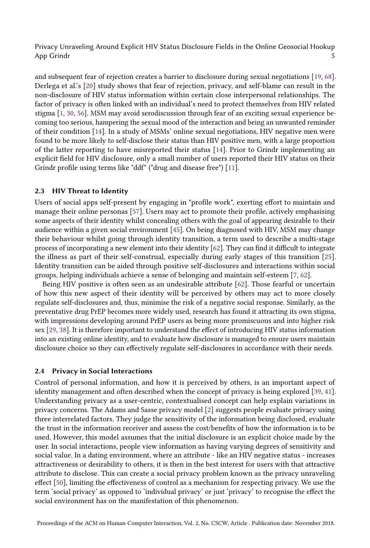Privacy Unraveling Around Explicit HIV Status Disclosure Fields in the Online Geosocial Hookup App Grindr 5 and 5 and 5 and 5 and 5 and 5 and 5 and 5 and 5 and 5 and 5 and 5 and 5 and 5 and 5 and 5 and 5 and 5 and 5 and 5 and 5 and 5 and 5 and 5 and 5 and 5 and 5 and 5 and 5 and 5 and 5 and 5 and 5 and 5 and 5 and 5

and subsequent fear of rejection creates a barrier to disclosure during sexual negotiations [\[19,](#page-18-12) [68\]](#page-20-10). Derlega et al.'s [\[20\]](#page-18-10) study shows that fear of rejection, privacy, and self-blame can result in the non-disclosure of HIV status information within certain close interpersonal relationships. The factor of privacy is often linked with an individual's need to protect themselves from HIV related stigma [\[1,](#page-17-0) [30,](#page-19-7) [56\]](#page-20-11). MSM may avoid serodiscussion through fear of an exciting sexual experience becoming too serious, hampering the sexual mood of the interaction and being an unwanted reminder of their condition [\[14\]](#page-18-13). In a study of MSMs' online sexual negotiations, HIV negative men were found to be more likely to self-disclose their status than HIV positive men, with a large proportion of the latter reporting to have misreported their status [\[14\]](#page-18-13). Prior to Grindr implementing an explicit field for HIV disclosure, only a small number of users reported their HIV status on their Grindr profile using terms like "ddf" ("drug and disease free") [\[11\]](#page-18-14).

#### 2.3 HIV Threat to Identity

Users of social apps self-present by engaging in "profile work", exerting effort to maintain and manage their online personas [\[57\]](#page-20-12). Users may act to promote their profile, actively emphasising some aspects of their identity whilst concealing others with the goal of appearing desirable to their audience within a given social environment [\[45\]](#page-19-8). On being diagnosed with HIV, MSM may change their behaviour whilst going through identity transition, a term used to describe a multi-stage process of incorporating a new element into their identity [\[62\]](#page-20-1). They can find it difficult to integrate the illness as part of their self-construal, especially during early stages of this transition [\[25\]](#page-18-15). Identity transition can be aided through positive self-disclosures and interactions within social groups, helping individuals achieve a sense of belonging and maintain self-esteem [\[7,](#page-18-1) [62\]](#page-20-1).

Being HIV positive is often seen as an undesirable attribute [\[62\]](#page-20-1). Those fearful or uncertain of how this new aspect of their identity will be perceived by others may act to more closely regulate self-disclosures and, thus, minimise the risk of a negative social response. Similarly, as the preventative drug PrEP becomes more widely used, research has found it attracting its own stigma, with impressions developing around PrEP users as being more promiscuous and into higher risk sex [\[29,](#page-19-9) [38\]](#page-19-10). It is therefore important to understand the effect of introducing HIV status information into an existing online identity, and to evaluate how disclosure is managed to ensure users maintain disclosure choice so they can effectively regulate self-disclosures in accordance with their needs.

#### 2.4 Privacy in Social Interactions

Control of personal information, and how it is perceived by others, is an important aspect of identity management and often described when the concept of privacy is being explored [\[39,](#page-19-11) [41\]](#page-19-12). Understanding privacy as a user-centric, contextualised concept can help explain variations in privacy concerns. The Adams and Sasse privacy model [\[2\]](#page-17-1) suggests people evaluate privacy using three interrelated factors. They judge the sensitivity of the information being disclosed, evaluate the trust in the information receiver and assess the cost/benefits of how the information is to be used. However, this model assumes that the initial disclosure is an explicit choice made by the user. In social interactions, people view information as having varying degrees of sensitivity and social value. In a dating environment, where an attribute - like an HIV negative status - increases attractiveness or desirability to others, it is then in the best interest for users with that attractive attribute to disclose. This can create a social privacy problem known as the privacy unraveling effect [\[50\]](#page-19-3), limiting the effectiveness of control as a mechanism for respecting privacy. We use the term 'social privacy' as opposed to 'individual privacy' or just 'privacy' to recognise the effect the social environment has on the manifestation of this phenomenon.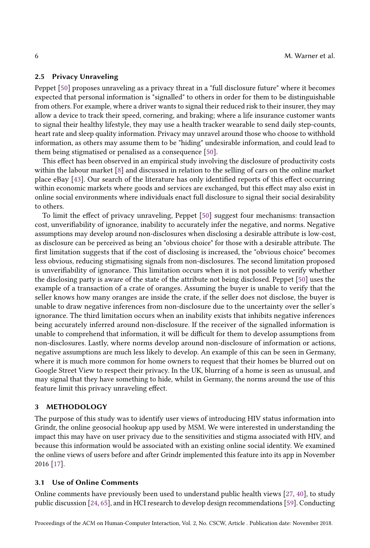## 2.5 Privacy Unraveling

Peppet [\[50\]](#page-19-3) proposes unraveling as a privacy threat in a "full disclosure future" where it becomes expected that personal information is "signalled" to others in order for them to be distinguishable from others. For example, where a driver wants to signal their reduced risk to their insurer, they may allow a device to track their speed, cornering, and braking; where a life insurance customer wants to signal their healthy lifestyle, they may use a health tracker wearable to send daily step-counts, heart rate and sleep quality information. Privacy may unravel around those who choose to withhold information, as others may assume them to be "hiding" undesirable information, and could lead to them being stigmatised or penalised as a consequence [\[50\]](#page-19-3).

This effect has been observed in an empirical study involving the disclosure of productivity costs within the labour market [\[8\]](#page-18-16) and discussed in relation to the selling of cars on the online market place eBay [\[43\]](#page-19-13). Our search of the literature has only identified reports of this effect occurring within economic markets where goods and services are exchanged, but this effect may also exist in online social environments where individuals enact full disclosure to signal their social desirability to others.

To limit the effect of privacy unraveling, Peppet [\[50\]](#page-19-3) suggest four mechanisms: transaction cost, unverifiability of ignorance, inability to accurately infer the negative, and norms. Negative assumptions may develop around non-disclosures when disclosing a desirable attribute is low-cost, as disclosure can be perceived as being an "obvious choice" for those with a desirable attribute. The first limitation suggests that if the cost of disclosing is increased, the "obvious choice" becomes less obvious, reducing stigmatising signals from non-disclosures. The second limitation proposed is unverifiability of ignorance. This limitation occurs when it is not possible to verify whether the disclosing party is aware of the state of the attribute not being disclosed. Peppet [\[50\]](#page-19-3) uses the example of a transaction of a crate of oranges. Assuming the buyer is unable to verify that the seller knows how many oranges are inside the crate, if the seller does not disclose, the buyer is unable to draw negative inferences from non-disclosure due to the uncertainty over the seller's ignorance. The third limitation occurs when an inability exists that inhibits negative inferences being accurately inferred around non-disclosure. If the receiver of the signalled information is unable to comprehend that information, it will be difficult for them to develop assumptions from non-disclosures. Lastly, where norms develop around non-disclosure of information or actions, negative assumptions are much less likely to develop. An example of this can be seen in Germany, where it is much more common for home owners to request that their homes be blurred out on Google Street View to respect their privacy. In the UK, blurring of a home is seen as unusual, and may signal that they have something to hide, whilst in Germany, the norms around the use of this feature limit this privacy unraveling effect.

#### 3 METHODOLOGY

The purpose of this study was to identify user views of introducing HIV status information into Grindr, the online geosocial hookup app used by MSM. We were interested in understanding the impact this may have on user privacy due to the sensitivities and stigma associated with HIV, and because this information would be associated with an existing online social identity. We examined the online views of users before and after Grindr implemented this feature into its app in November 2016 [\[17\]](#page-18-3).

# 3.1 Use of Online Comments

Online comments have previously been used to understand public health views [\[27,](#page-19-14) [40\]](#page-19-15), to study public discussion [\[24,](#page-18-17) [65\]](#page-20-13), and in HCI research to develop design recommendations [\[59\]](#page-20-14). Conducting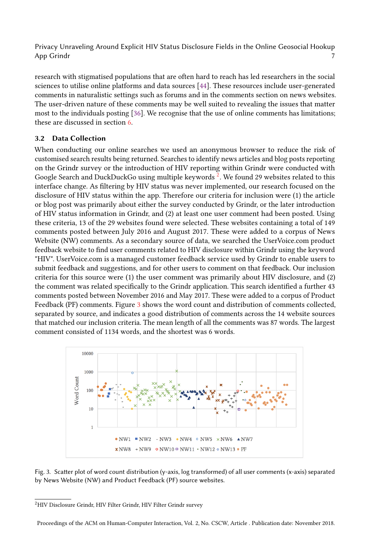research with stigmatised populations that are often hard to reach has led researchers in the social sciences to utilise online platforms and data sources [\[44\]](#page-19-16). These resources include user-generated comments in naturalistic settings such as forums and in the comments section on news websites. The user-driven nature of these comments may be well suited to revealing the issues that matter most to the individuals posting [\[36\]](#page-19-17). We recognise that the use of online comments has limitations; these are discussed in section [6.](#page-16-0)

# 3.2 Data Collection

When conducting our online searches we used an anonymous browser to reduce the risk of customised search results being returned. Searches to identify news articles and blog posts reporting on the Grindr survey or the introduction of HIV reporting within Grindr were conducted with Google Search and DuckDuckGo using multiple keywords <sup>[2](#page-6-0)</sup>. We found 29 websites related to this interface change. As filtering by HIV status was never implemented, our research focused on the disclosure of HIV status within the app. Therefore our criteria for inclusion were (1) the article or blog post was primarily about either the survey conducted by Grindr, or the later introduction of HIV status information in Grindr, and (2) at least one user comment had been posted. Using these criteria, 13 of the 29 websites found were selected. These websites containing a total of 149 comments posted between July 2016 and August 2017. These were added to a corpus of News Website (NW) comments. As a secondary source of data, we searched the UserVoice.com product feedback website to find user comments related to HIV disclosure within Grindr using the keyword "HIV". UserVoice.com is a managed customer feedback service used by Grindr to enable users to submit feedback and suggestions, and for other users to comment on that feedback. Our inclusion criteria for this source were (1) the user comment was primarily about HIV disclosure, and (2) the comment was related specifically to the Grindr application. This search identified a further 43 comments posted between November 2016 and May 2017. These were added to a corpus of Product Feedback (PF) comments. Figure [3](#page-6-1) shows the word count and distribution of comments collected, separated by source, and indicates a good distribution of comments across the 14 website sources that matched our inclusion criteria. The mean length of all the comments was 87 words. The largest comment consisted of 1134 words, and the shortest was 6 words.

<span id="page-6-1"></span>

Fig. 3. Scatter plot of word count distribution (y-axis, log transformed) of all user comments (x-axis) separated by News Website (NW) and Product Feedback (PF) source websites.

<span id="page-6-0"></span><sup>2</sup>HIV Disclosure Grindr, HIV Filter Grindr, HIV Filter Grindr survey

Proceedings of the ACM on Human-Computer Interaction, Vol. 2, No. CSCW, Article . Publication date: November 2018.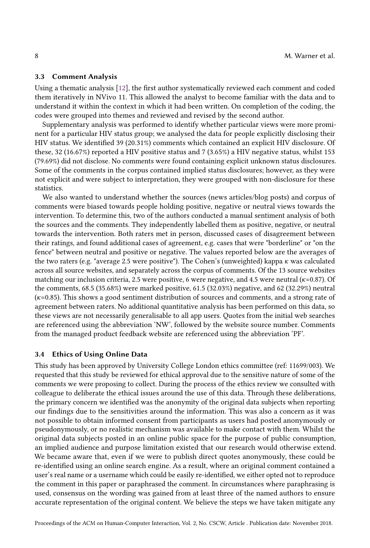#### 3.3 Comment Analysis

Using a thematic analysis [\[12\]](#page-18-18), the first author systematically reviewed each comment and coded them iteratively in NVivo 11. This allowed the analyst to become familiar with the data and to understand it within the context in which it had been written. On completion of the coding, the codes were grouped into themes and reviewed and revised by the second author.

Supplementary analysis was performed to identify whether particular views were more prominent for a particular HIV status group; we analysed the data for people explicitly disclosing their HIV status. We identified 39 (20.31%) comments which contained an explicit HIV disclosure. Of these, 32 (16.67%) reported a HIV positive status and 7 (3.65%) a HIV negative status, whilst 153 (79.69%) did not disclose. No comments were found containing explicit unknown status disclosures. Some of the comments in the corpus contained implied status disclosures; however, as they were not explicit and were subject to interpretation, they were grouped with non-disclosure for these statistics.

We also wanted to understand whether the sources (news articles/blog posts) and corpus of comments were biased towards people holding positive, negative or neutral views towards the intervention. To determine this, two of the authors conducted a manual sentiment analysis of both the sources and the comments. They independently labelled them as positive, negative, or neutral towards the intervention. Both raters met in person, discussed cases of disagreement between their ratings, and found additional cases of agreement, e.g. cases that were "borderline" or "on the fence" between neutral and positive or negative. The values reported below are the averages of the two raters (e.g. "average 2.5 were positive"). The Cohen's (unweighted) kappa  $\kappa$  was calculated across all source websites, and separately across the corpus of comments. Of the 13 source websites matching our inclusion criteria, 2.5 were positive, 6 were negative, and 4.5 were neutral ( $\kappa$ =0.87). Of the comments, 68.5 (35.68%) were marked positive, 61.5 (32.03%) negative, and 62 (32.29%) neutral  $(\kappa=0.85)$ . This shows a good sentiment distribution of sources and comments, and a strong rate of agreement between raters. No additional quantitative analysis has been performed on this data, so these views are not necessarily generalisable to all app users. Quotes from the initial web searches are referenced using the abbreviation 'NW', followed by the website source number. Comments from the managed product feedback website are referenced using the abbreviation 'PF'.

#### 3.4 Ethics of Using Online Data

This study has been approved by University College London ethics committee (ref: 11699/003). We requested that this study be reviewed for ethical approval due to the sensitive nature of some of the comments we were proposing to collect. During the process of the ethics review we consulted with colleague to deliberate the ethical issues around the use of this data. Through these deliberations, the primary concern we identified was the anonymity of the original data subjects when reporting our findings due to the sensitivities around the information. This was also a concern as it was not possible to obtain informed consent from participants as users had posted anonymously or pseudonymously, or no realistic mechanism was available to make contact with them. Whilst the original data subjects posted in an online public space for the purpose of public consumption, an implied audience and purpose limitation existed that our research would otherwise extend. We became aware that, even if we were to publish direct quotes anonymously, these could be re-identified using an online search engine. As a result, where an original comment contained a user's real name or a username which could be easily re-identified, we either opted not to reproduce the comment in this paper or paraphrased the comment. In circumstances where paraphrasing is used, consensus on the wording was gained from at least three of the named authors to ensure accurate representation of the original content. We believe the steps we have taken mitigate any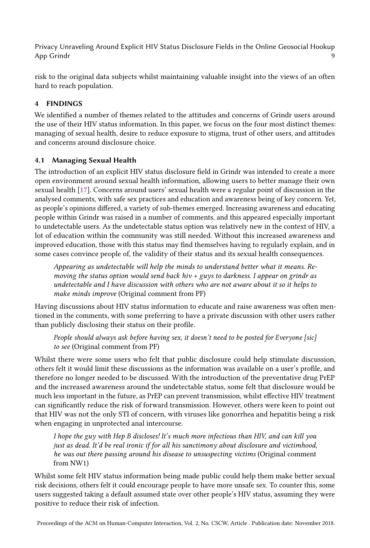risk to the original data subjects whilst maintaining valuable insight into the views of an often hard to reach population.

# 4 FINDINGS

We identified a number of themes related to the attitudes and concerns of Grindr users around the use of their HIV status information. In this paper, we focus on the four most distinct themes: managing of sexual health, desire to reduce exposure to stigma, trust of other users, and attitudes and concerns around disclosure choice.

# 4.1 Managing Sexual Health

The introduction of an explicit HIV status disclosure field in Grindr was intended to create a more open environment around sexual health information, allowing users to better manage their own sexual health [\[17\]](#page-18-3). Concerns around users' sexual health were a regular point of discussion in the analysed comments, with safe sex practices and education and awareness being of key concern. Yet, as people's opinions differed, a variety of sub-themes emerged. Increasing awareness and educating people within Grindr was raised in a number of comments, and this appeared especially important to undetectable users. As the undetectable status option was relatively new in the context of HIV, a lot of education within the community was still needed. Without this increased awareness and improved education, those with this status may find themselves having to regularly explain, and in some cases convince people of, the validity of their status and its sexual health consequences.

Appearing as undetectable will help the minds to understand better what it means. Removing the status option would send back hiv  $+$  guys to darkness. I appear on grindr as undetectable and I have discussion with others who are not aware about it so it helps to make minds improve (Original comment from PF)

Having discussions about HIV status information to educate and raise awareness was often mentioned in the comments, with some preferring to have a private discussion with other users rather than publicly disclosing their status on their profile.

People should always ask before having sex, it doesn't need to be posted for Everyone [sic] to see (Original comment from PF)

Whilst there were some users who felt that public disclosure could help stimulate discussion, others felt it would limit these discussions as the information was available on a user's profile, and therefore no longer needed to be discussed. With the introduction of the preventative drug PrEP and the increased awareness around the undetectable status, some felt that disclosure would be much less important in the future, as PrEP can prevent transmission, whilst effective HIV treatment can significantly reduce the risk of forward transmission. However, others were keen to point out that HIV was not the only STI of concern, with viruses like gonorrhea and hepatitis being a risk when engaging in unprotected anal intercourse.

I hope the guy with Hep B discloses! It's much more infectious than HIV, and can kill you just as dead. It'd be real ironic if for all his sanctimony about disclosure and victimhood, he was out there passing around his disease to unsuspecting victims (Original comment from NW1)

Whilst some felt HIV status information being made public could help them make better sexual risk decisions, others felt it could encourage people to have more unsafe sex. To counter this, some users suggested taking a default assumed state over other people's HIV status, assuming they were positive to reduce their risk of infection.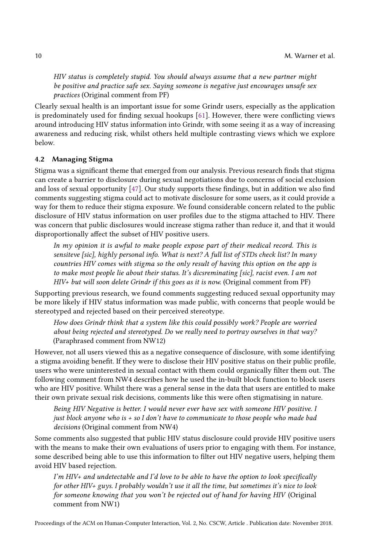HIV status is completely stupid. You should always assume that a new partner might be positive and practice safe sex. Saying someone is negative just encourages unsafe sex practices (Original comment from PF)

Clearly sexual health is an important issue for some Grindr users, especially as the application is predominately used for finding sexual hookups [\[61\]](#page-20-3). However, there were conflicting views around introducing HIV status information into Grindr, with some seeing it as a way of increasing awareness and reducing risk, whilst others held multiple contrasting views which we explore below.

# <span id="page-9-0"></span>4.2 Managing Stigma

Stigma was a significant theme that emerged from our analysis. Previous research finds that stigma can create a barrier to disclosure during sexual negotiations due to concerns of social exclusion and loss of sexual opportunity [\[47\]](#page-19-6). Our study supports these findings, but in addition we also find comments suggesting stigma could act to motivate disclosure for some users, as it could provide a way for them to reduce their stigma exposure. We found considerable concern related to the public disclosure of HIV status information on user profiles due to the stigma attached to HIV. There was concern that public disclosures would increase stigma rather than reduce it, and that it would disproportionally affect the subset of HIV positive users.

In my opinion it is awful to make people expose part of their medical record. This is sensiteve [sic], highly personal info. What is next? A full list of STDs check list? In many countries HIV comes with stigma so the only result of having this option on the app is to make most people lie about their status. It's dicsreminating [sic], racist even. I am not HIV+ but will soon delete Grindr if this goes as it is now. (Original comment from PF)

Supporting previous research, we found comments suggesting reduced sexual opportunity may be more likely if HIV status information was made public, with concerns that people would be stereotyped and rejected based on their perceived stereotype.

How does Grindr think that a system like this could possibly work? People are worried about being rejected and stereotyped. Do we really need to portray ourselves in that way? (Paraphrased comment from NW12)

However, not all users viewed this as a negative consequence of disclosure, with some identifying a stigma avoiding benefit. If they were to disclose their HIV positive status on their public profile, users who were uninterested in sexual contact with them could organically filter them out. The following comment from NW4 describes how he used the in-built block function to block users who are HIV positive. Whilst there was a general sense in the data that users are entitled to make their own private sexual risk decisions, comments like this were often stigmatising in nature.

Being HIV Negative is better. I would never ever have sex with someone HIV positive. I just block anyone who is + so I don't have to communicate to those people who made bad decisions (Original comment from NW4)

Some comments also suggested that public HIV status disclosure could provide HIV positive users with the means to make their own evaluations of users prior to engaging with them. For instance, some described being able to use this information to filter out HIV negative users, helping them avoid HIV based rejection.

I'm HIV+ and undetectable and I'd love to be able to have the option to look specifically for other HIV+ guys. I probably wouldn't use it all the time, but sometimes it's nice to look for someone knowing that you won't be rejected out of hand for having HIV (Original comment from NW1)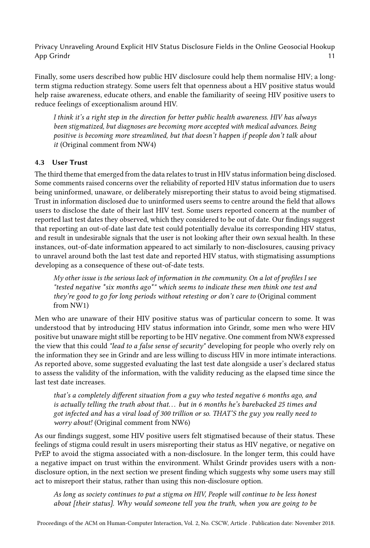Privacy Unraveling Around Explicit HIV Status Disclosure Fields in the Online Geosocial Hookup App Grindr 11 and 12 and 12 and 12 and 12 and 12 and 12 and 12 and 12 and 12 and 12 and 12 and 12 and 12 and 12 and 12 and 12 and 12 and 12 and 12 and 12 and 12 and 12 and 12 and 12 and 12 and 12 and 12 and 12 and 12 and 1

Finally, some users described how public HIV disclosure could help them normalise HIV; a longterm stigma reduction strategy. Some users felt that openness about a HIV positive status would help raise awareness, educate others, and enable the familiarity of seeing HIV positive users to reduce feelings of exceptionalism around HIV.

I think it's a right step in the direction for better public health awareness. HIV has always been stigmatized, but diagnoses are becoming more accepted with medical advances. Being positive is becoming more streamlined, but that doesn't happen if people don't talk about it (Original comment from NW4)

# <span id="page-10-0"></span>4.3 User Trust

The third theme that emerged from the data relates to trust in HIV status information being disclosed. Some comments raised concerns over the reliability of reported HIV status information due to users being uninformed, unaware, or deliberately misreporting their status to avoid being stigmatised. Trust in information disclosed due to uninformed users seems to centre around the field that allows users to disclose the date of their last HIV test. Some users reported concern at the number of reported last test dates they observed, which they considered to be out of date. Our findings suggest that reporting an out-of-date last date test could potentially devalue its corresponding HIV status, and result in undesirable signals that the user is not looking after their own sexual health. In these instances, out-of-date information appeared to act similarly to non-disclosures, causing privacy to unravel around both the last test date and reported HIV status, with stigmatising assumptions developing as a consequence of these out-of-date tests.

My other issue is the serious lack of information in the community. On a lot of profiles I see "tested negative \*six months ago\*" which seems to indicate these men think one test and they're good to go for long periods without retesting or don't care to (Original comment from NW1)

Men who are unaware of their HIV positive status was of particular concern to some. It was understood that by introducing HIV status information into Grindr, some men who were HIV positive but unaware might still be reporting to be HIV negative. One comment from NW8 expressed the view that this could "lead to a false sense of security" developing for people who overly rely on the information they see in Grindr and are less willing to discuss HIV in more intimate interactions. As reported above, some suggested evaluating the last test date alongside a user's declared status to assess the validity of the information, with the validity reducing as the elapsed time since the last test date increases.

that's a completely different situation from a guy who tested negative 6 months ago, and is actually telling the truth about that... but in 6 months he's barebacked 25 times and got infected and has a viral load of 300 trillion or so. THAT'S the guy you really need to worry about! (Original comment from NW6)

As our findings suggest, some HIV positive users felt stigmatised because of their status. These feelings of stigma could result in users misreporting their status as HIV negative, or negative on PrEP to avoid the stigma associated with a non-disclosure. In the longer term, this could have a negative impact on trust within the environment. Whilst Grindr provides users with a nondisclosure option, in the next section we present finding which suggests why some users may still act to misreport their status, rather than using this non-disclosure option.

As long as society continues to put a stigma on HIV, People will continue to be less honest about [their status]. Why would someone tell you the truth, when you are going to be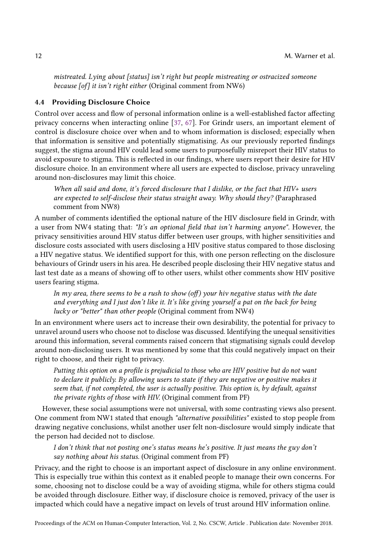mistreated. Lying about [status] isn't right but people mistreating or ostracized someone because [of] it isn't right either (Original comment from NW6)

#### 4.4 Providing Disclosure Choice

Control over access and flow of personal information online is a well-established factor affecting privacy concerns when interacting online [\[37,](#page-19-18) [67\]](#page-20-15). For Grindr users, an important element of control is disclosure choice over when and to whom information is disclosed; especially when that information is sensitive and potentially stigmatising. As our previously reported findings suggest, the stigma around HIV could lead some users to purposefully misreport their HIV status to avoid exposure to stigma. This is reflected in our findings, where users report their desire for HIV disclosure choice. In an environment where all users are expected to disclose, privacy unraveling around non-disclosures may limit this choice.

When all said and done, it's forced disclosure that I dislike, or the fact that HIV+ users are expected to self-disclose their status straight away. Why should they? (Paraphrased comment from NW8)

A number of comments identified the optional nature of the HIV disclosure field in Grindr, with a user from NW4 stating that: "It's an optional field that isn't harming anyone". However, the privacy sensitivities around HIV status differ between user groups, with higher sensitivities and disclosure costs associated with users disclosing a HIV positive status compared to those disclosing a HIV negative status. We identified support for this, with one person reflecting on the disclosure behaviours of Grindr users in his area. He described people disclosing their HIV negative status and last test date as a means of showing off to other users, whilst other comments show HIV positive users fearing stigma.

In my area, there seems to be a rush to show (off) your hiv negative status with the date and everything and I just don't like it. It's like giving yourself a pat on the back for being lucky or "better" than other people (Original comment from NW4)

In an environment where users act to increase their own desirability, the potential for privacy to unravel around users who choose not to disclose was discussed. Identifying the unequal sensitivities around this information, several comments raised concern that stigmatising signals could develop around non-disclosing users. It was mentioned by some that this could negatively impact on their right to choose, and their right to privacy.

Putting this option on a profile is prejudicial to those who are HIV positive but do not want to declare it publicly. By allowing users to state if they are negative or positive makes it seem that, if not completed, the user is actually positive. This option is, by default, against the private rights of those with HIV. (Original comment from PF)

However, these social assumptions were not universal, with some contrasting views also present. One comment from NW1 stated that enough "alternative possibilities" existed to stop people from drawing negative conclusions, whilst another user felt non-disclosure would simply indicate that the person had decided not to disclose.

I don't think that not posting one's status means he's positive. It just means the guy don't say nothing about his status. (Original comment from PF)

Privacy, and the right to choose is an important aspect of disclosure in any online environment. This is especially true within this context as it enabled people to manage their own concerns. For some, choosing not to disclose could be a way of avoiding stigma, while for others stigma could be avoided through disclosure. Either way, if disclosure choice is removed, privacy of the user is impacted which could have a negative impact on levels of trust around HIV information online.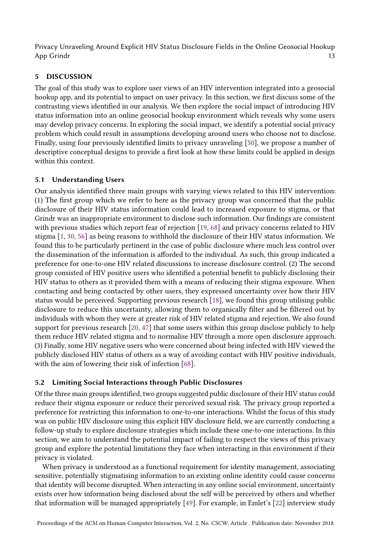# 5 DISCUSSION

The goal of this study was to explore user views of an HIV intervention integrated into a geosocial hookup app, and its potential to impact on user privacy. In this section, we first discuss some of the contrasting views identified in our analysis. We then explore the social impact of introducing HIV status information into an online geosocial hookup environment which reveals why some users may develop privacy concerns. In exploring the social impact, we identify a potential social privacy problem which could result in assumptions developing around users who choose not to disclose. Finally, using four previously identified limits to privacy unraveling [\[50\]](#page-19-3), we propose a number of descriptive conceptual designs to provide a first look at how these limits could be applied in design within this context.

# 5.1 Understanding Users

Our analysis identified three main groups with varying views related to this HIV intervention: (1) The first group which we refer to here as the privacy group was concerned that the public disclosure of their HIV status information could lead to increased exposure to stigma, or that Grindr was an inappropriate environment to disclose such information. Our findings are consistent with previous studies which report fear of rejection [\[19,](#page-18-12) [68\]](#page-20-10) and privacy concerns related to HIV stigma [\[1,](#page-17-0) [30,](#page-19-7) [56\]](#page-20-11) as being reasons to withhold the disclosure of their HIV status information. We found this to be particularly pertinent in the case of public disclosure where much less control over the dissemination of the information is afforded to the individual. As such, this group indicated a preference for one-to-one HIV related discussions to increase disclosure control. (2) The second group consisted of HIV positive users who identified a potential benefit to publicly disclosing their HIV status to others as it provided them with a means of reducing their stigma exposure. When contacting and being contacted by other users, they expressed uncertainty over how their HIV status would be perceived. Supporting previous research [\[18\]](#page-18-19), we found this group utilising public disclosure to reduce this uncertainty, allowing them to organically filter and be filtered out by individuals with whom they were at greater risk of HIV related stigma and rejection. We also found support for previous research [\[20,](#page-18-10) [47\]](#page-19-6) that some users within this group disclose publicly to help them reduce HIV related stigma and to normalise HIV through a more open disclosure approach. (3) Finally, some HIV negative users who were concerned about being infected with HIV viewed the publicly disclosed HIV status of others as a way of avoiding contact with HIV positive individuals, with the aim of lowering their risk of infection [\[68\]](#page-20-10).

# 5.2 Limiting Social Interactions through Public Disclosures

Of the three main groups identified, two groups suggested public disclosure of their HIV status could reduce their stigma exposure or reduce their perceived sexual risk. The privacy group reported a preference for restricting this information to one-to-one interactions. Whilst the focus of this study was on public HIV disclosure using this explicit HIV disclosure field, we are currently conducting a follow-up study to explore disclosure strategies which include these one-to-one interactions. In this section, we aim to understand the potential impact of failing to respect the views of this privacy group and explore the potential limitations they face when interacting in this environment if their privacy is violated.

When privacy is understood as a functional requirement for identity management, associating sensitive, potentially stigmatising information to an existing online identity could cause concerns that identity will become disrupted. When interacting in any online social environment, uncertainty exists over how information being disclosed about the self will be perceived by others and whether that information will be managed appropriately [\[49\]](#page-19-19). For example, in Emlet's [\[22\]](#page-18-20) interview study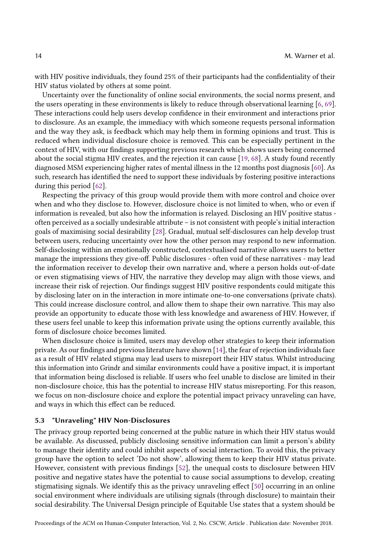with HIV positive individuals, they found 25% of their participants had the confidentiality of their HIV status violated by others at some point.

Uncertainty over the functionality of online social environments, the social norms present, and the users operating in these environments is likely to reduce through observational learning [\[6,](#page-18-21) [69\]](#page-20-16). These interactions could help users develop confidence in their environment and interactions prior to disclosure. As an example, the immediacy with which someone requests personal information and the way they ask, is feedback which may help them in forming opinions and trust. This is reduced when individual disclosure choice is removed. This can be especially pertinent in the context of HIV, with our findings supporting previous research which shows users being concerned about the social stigma HIV creates, and the rejection it can cause [\[19,](#page-18-12) [68\]](#page-20-10). A study found recently diagnosed MSM experiencing higher rates of mental illness in the 12 months post diagnosis [\[60\]](#page-20-2). As such, research has identified the need to support these individuals by fostering positive interactions during this period [\[62\]](#page-20-1).

Respecting the privacy of this group would provide them with more control and choice over when and who they disclose to. However, disclosure choice is not limited to when, who or even if information is revealed, but also how the information is relayed. Disclosing an HIV positive status often perceived as a socially undesirable attribute – is not consistent with people's initial interaction goals of maximising social desirability [\[28\]](#page-19-20). Gradual, mutual self-disclosures can help develop trust between users, reducing uncertainty over how the other person may respond to new information. Self-disclosing within an emotionally constructed, contextualised narrative allows users to better manage the impressions they give-off. Public disclosures - often void of these narratives - may lead the information receiver to develop their own narrative and, where a person holds out-of-date or even stigmatising views of HIV, the narrative they develop may align with those views, and increase their risk of rejection. Our findings suggest HIV positive respondents could mitigate this by disclosing later on in the interaction in more intimate one-to-one conversations (private chats). This could increase disclosure control, and allow them to shape their own narrative. This may also provide an opportunity to educate those with less knowledge and awareness of HIV. However, if these users feel unable to keep this information private using the options currently available, this form of disclosure choice becomes limited.

When disclosure choice is limited, users may develop other strategies to keep their information private. As our findings and previous literature have shown [\[14\]](#page-18-13), the fear of rejection individuals face as a result of HIV related stigma may lead users to misreport their HIV status. Whilst introducing this information into Grindr and similar environments could have a positive impact, it is important that information being disclosed is reliable. If users who feel unable to disclose are limited in their non-disclosure choice, this has the potential to increase HIV status misreporting. For this reason, we focus on non-disclosure choice and explore the potential impact privacy unraveling can have, and ways in which this effect can be reduced.

#### 5.3 "Unraveling" HIV Non-Disclosures

The privacy group reported being concerned at the public nature in which their HIV status would be available. As discussed, publicly disclosing sensitive information can limit a person's ability to manage their identity and could inhibit aspects of social interaction. To avoid this, the privacy group have the option to select 'Do not show', allowing them to keep their HIV status private. However, consistent with previous findings [\[52\]](#page-20-17), the unequal costs to disclosure between HIV positive and negative states have the potential to cause social assumptions to develop, creating stigmatising signals. We identify this as the privacy unraveling effect [\[50\]](#page-19-3) occurring in an online social environment where individuals are utilising signals (through disclosure) to maintain their social desirability. The Universal Design principle of Equitable Use states that a system should be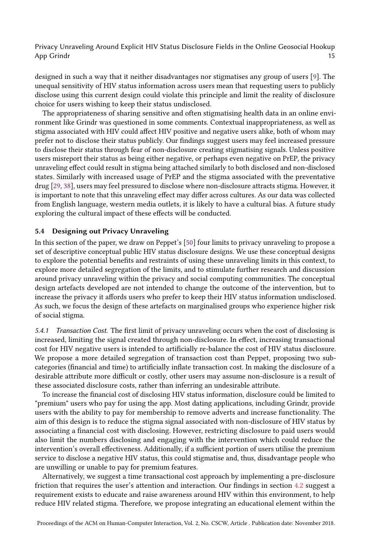designed in such a way that it neither disadvantages nor stigmatises any group of users [\[9\]](#page-18-2). The unequal sensitivity of HIV status information across users mean that requesting users to publicly disclose using this current design could violate this principle and limit the reality of disclosure choice for users wishing to keep their status undisclosed.

The appropriateness of sharing sensitive and often stigmatising health data in an online environment like Grindr was questioned in some comments. Contextual inappropriateness, as well as stigma associated with HIV could affect HIV positive and negative users alike, both of whom may prefer not to disclose their status publicly. Our findings suggest users may feel increased pressure to disclose their status through fear of non-disclosure creating stigmatising signals. Unless positive users misreport their status as being either negative, or perhaps even negative on PrEP, the privacy unraveling effect could result in stigma being attached similarly to both disclosed and non-disclosed states. Similarly with increased usage of PrEP and the stigma associated with the preventative drug [\[29,](#page-19-9) [38\]](#page-19-10), users may feel pressured to disclose where non-disclosure attracts stigma. However, it is important to note that this unraveling effect may differ across cultures. As our data was collected from English language, western media outlets, it is likely to have a cultural bias. A future study exploring the cultural impact of these effects will be conducted.

## 5.4 Designing out Privacy Unraveling

In this section of the paper, we draw on Peppet's [\[50\]](#page-19-3) four limits to privacy unraveling to propose a set of descriptive conceptual public HIV status disclosure designs. We use these conceptual designs to explore the potential benefits and restraints of using these unraveling limits in this context, to explore more detailed segregation of the limits, and to stimulate further research and discussion around privacy unraveling within the privacy and social computing communities. The conceptual design artefacts developed are not intended to change the outcome of the intervention, but to increase the privacy it affords users who prefer to keep their HIV status information undisclosed. As such, we focus the design of these artefacts on marginalised groups who experience higher risk of social stigma.

5.4.1 Transaction Cost. The first limit of privacy unraveling occurs when the cost of disclosing is increased, limiting the signal created through non-disclosure. In effect, increasing transactional cost for HIV negative users is intended to artificially re-balance the cost of HIV status disclosure. We propose a more detailed segregation of transaction cost than Peppet, proposing two subcategories (financial and time) to artificially inflate transaction cost. In making the disclosure of a desirable attribute more difficult or costly, other users may assume non-disclosure is a result of these associated disclosure costs, rather than inferring an undesirable attribute.

To increase the financial cost of disclosing HIV status information, disclosure could be limited to "premium" users who pay for using the app. Most dating applications, including Grindr, provide users with the ability to pay for membership to remove adverts and increase functionality. The aim of this design is to reduce the stigma signal associated with non-disclosure of HIV status by associating a financial cost with disclosing. However, restricting disclosure to paid users would also limit the numbers disclosing and engaging with the intervention which could reduce the intervention's overall effectiveness. Additionally, if a sufficient portion of users utilise the premium service to disclose a negative HIV status, this could stigmatise and, thus, disadvantage people who are unwilling or unable to pay for premium features.

Alternatively, we suggest a time transactional cost approach by implementing a pre-disclosure friction that requires the user's attention and interaction. Our findings in section [4.2](#page-9-0) suggest a requirement exists to educate and raise awareness around HIV within this environment, to help reduce HIV related stigma. Therefore, we propose integrating an educational element within the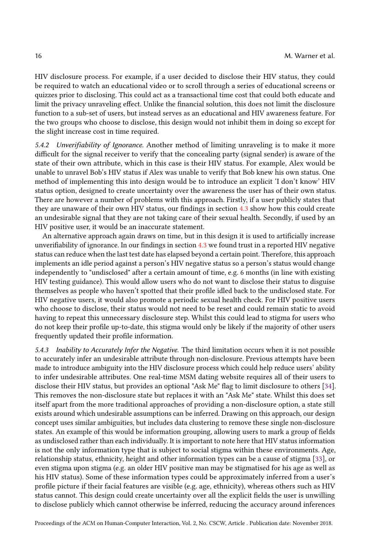HIV disclosure process. For example, if a user decided to disclose their HIV status, they could be required to watch an educational video or to scroll through a series of educational screens or quizzes prior to disclosing. This could act as a transactional time cost that could both educate and limit the privacy unraveling effect. Unlike the financial solution, this does not limit the disclosure function to a sub-set of users, but instead serves as an educational and HIV awareness feature. For the two groups who choose to disclose, this design would not inhibit them in doing so except for the slight increase cost in time required.

5.4.2 Unverifiability of Ignorance. Another method of limiting unraveling is to make it more difficult for the signal receiver to verify that the concealing party (signal sender) is aware of the state of their own attribute, which in this case is their HIV status. For example, Alex would be unable to unravel Bob's HIV status if Alex was unable to verify that Bob knew his own status. One method of implementing this into design would be to introduce an explicit 'I don't know' HIV status option, designed to create uncertainty over the awareness the user has of their own status. There are however a number of problems with this approach. Firstly, if a user publicly states that they are unaware of their own HIV status, our findings in section [4.3](#page-10-0) show how this could create an undesirable signal that they are not taking care of their sexual health. Secondly, if used by an HIV positive user, it would be an inaccurate statement.

An alternative approach again draws on time, but in this design it is used to artificially increase unverifiability of ignorance. In our findings in section [4.3](#page-10-0) we found trust in a reported HIV negative status can reduce when the last test date has elapsed beyond a certain point. Therefore, this approach implements an idle period against a person's HIV negative status so a person's status would change independently to "undisclosed" after a certain amount of time, e.g. 6 months (in line with existing HIV testing guidance). This would allow users who do not want to disclose their status to disguise themselves as people who haven't spotted that their profile idled back to the undisclosed state. For HIV negative users, it would also promote a periodic sexual health check. For HIV positive users who choose to disclose, their status would not need to be reset and could remain static to avoid having to repeat this unnecessary disclosure step. Whilst this could lead to stigma for users who do not keep their profile up-to-date, this stigma would only be likely if the majority of other users frequently updated their profile information.

5.4.3 Inability to Accurately Infer the Negative. The third limitation occurs when it is not possible to accurately infer an undesirable attribute through non-disclosure. Previous attempts have been made to introduce ambiguity into the HIV disclosure process which could help reduce users' ability to infer undesirable attributes. One real-time MSM dating website requires all of their users to disclose their HIV status, but provides an optional "Ask Me" flag to limit disclosure to others [\[34\]](#page-19-21). This removes the non-disclosure state but replaces it with an "Ask Me" state. Whilst this does set itself apart from the more traditional approaches of providing a non-disclosure option, a state still exists around which undesirable assumptions can be inferred. Drawing on this approach, our design concept uses similar ambiguities, but includes data clustering to remove these single non-disclosure states. An example of this would be information grouping, allowing users to mark a group of fields as undisclosed rather than each individually. It is important to note here that HIV status information is not the only information type that is subject to social stigma within these environments. Age, relationship status, ethnicity, height and other information types can be a cause of stigma [\[33\]](#page-19-22), or even stigma upon stigma (e.g. an older HIV positive man may be stigmatised for his age as well as his HIV status). Some of these information types could be approximately inferred from a user's profile picture if their facial features are visible (e.g. age, ethnicity), whereas others such as HIV status cannot. This design could create uncertainty over all the explicit fields the user is unwilling to disclose publicly which cannot otherwise be inferred, reducing the accuracy around inferences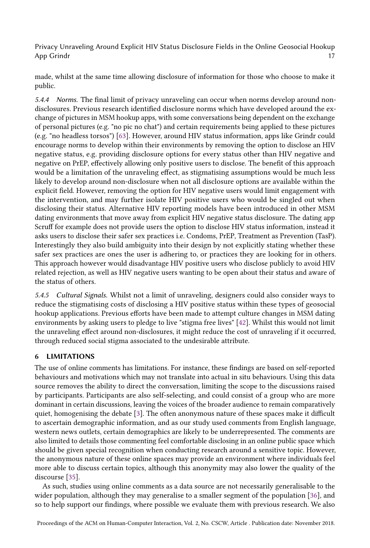made, whilst at the same time allowing disclosure of information for those who choose to make it public.

5.4.4 Norms. The final limit of privacy unraveling can occur when norms develop around nondisclosures. Previous research identified disclosure norms which have developed around the exchange of pictures in MSM hookup apps, with some conversations being dependent on the exchange of personal pictures (e.g. "no pic no chat") and certain requirements being applied to these pictures (e.g. "no headless torsos") [\[63\]](#page-20-18). However, around HIV status information, apps like Grindr could encourage norms to develop within their environments by removing the option to disclose an HIV negative status, e.g. providing disclosure options for every status other than HIV negative and negative on PrEP, effectively allowing only positive users to disclose. The benefit of this approach would be a limitation of the unraveling effect, as stigmatising assumptions would be much less likely to develop around non-disclosure when not all disclosure options are available within the explicit field. However, removing the option for HIV negative users would limit engagement with the intervention, and may further isolate HIV positive users who would be singled out when disclosing their status. Alternative HIV reporting models have been introduced in other MSM dating environments that move away from explicit HIV negative status disclosure. The dating app Scruff for example does not provide users the option to disclose HIV status information, instead it asks users to disclose their safer sex practices i.e. Condoms, PrEP, Treatment as Prevention (TasP). Interestingly they also build ambiguity into their design by not explicitly stating whether these safer sex practices are ones the user is adhering to, or practices they are looking for in others. This approach however would disadvantage HIV positive users who disclose publicly to avoid HIV related rejection, as well as HIV negative users wanting to be open about their status and aware of the status of others.

5.4.5 Cultural Signals. Whilst not a limit of unraveling, designers could also consider ways to reduce the stigmatising costs of disclosing a HIV positive status within these types of geosocial hookup applications. Previous efforts have been made to attempt culture changes in MSM dating environments by asking users to pledge to live "stigma free lives" [\[42\]](#page-19-23). Whilst this would not limit the unraveling effect around non-disclosures, it might reduce the cost of unraveling if it occurred, through reduced social stigma associated to the undesirable attribute.

# <span id="page-16-0"></span>6 LIMITATIONS

The use of online comments has limitations. For instance, these findings are based on self-reported behaviours and motivations which may not translate into actual in situ behaviours. Using this data source removes the ability to direct the conversation, limiting the scope to the discussions raised by participants. Participants are also self-selecting, and could consist of a group who are more dominant in certain discussions, leaving the voices of the broader audience to remain comparatively quiet, homogenising the debate [\[3\]](#page-17-2). The often anonymous nature of these spaces make it difficult to ascertain demographic information, and as our study used comments from English language, western news outlets, certain demographics are likely to be underrepresented. The comments are also limited to details those commenting feel comfortable disclosing in an online public space which should be given special recognition when conducting research around a sensitive topic. However, the anonymous nature of these online spaces may provide an environment where individuals feel more able to discuss certain topics, although this anonymity may also lower the quality of the discourse [\[35\]](#page-19-24).

As such, studies using online comments as a data source are not necessarily generalisable to the wider population, although they may generalise to a smaller segment of the population [\[36\]](#page-19-17), and so to help support our findings, where possible we evaluate them with previous research. We also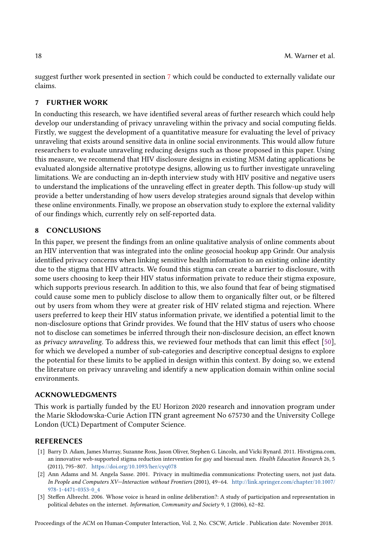suggest further work presented in section [7](#page-17-3) which could be conducted to externally validate our claims.

## <span id="page-17-3"></span>7 FURTHER WORK

In conducting this research, we have identified several areas of further research which could help develop our understanding of privacy unraveling within the privacy and social computing fields. Firstly, we suggest the development of a quantitative measure for evaluating the level of privacy unraveling that exists around sensitive data in online social environments. This would allow future researchers to evaluate unraveling reducing designs such as those proposed in this paper. Using this measure, we recommend that HIV disclosure designs in existing MSM dating applications be evaluated alongside alternative prototype designs, allowing us to further investigate unraveling limitations. We are conducting an in-depth interview study with HIV positive and negative users to understand the implications of the unraveling effect in greater depth. This follow-up study will provide a better understanding of how users develop strategies around signals that develop within these online environments. Finally, we propose an observation study to explore the external validity of our findings which, currently rely on self-reported data.

## 8 CONCLUSIONS

In this paper, we present the findings from an online qualitative analysis of online comments about an HIV intervention that was integrated into the online geosocial hookup app Grindr. Our analysis identified privacy concerns when linking sensitive health information to an existing online identity due to the stigma that HIV attracts. We found this stigma can create a barrier to disclosure, with some users choosing to keep their HIV status information private to reduce their stigma exposure, which supports previous research. In addition to this, we also found that fear of being stigmatised could cause some men to publicly disclose to allow them to organically filter out, or be filtered out by users from whom they were at greater risk of HIV related stigma and rejection. Where users preferred to keep their HIV status information private, we identified a potential limit to the non-disclosure options that Grindr provides. We found that the HIV status of users who choose not to disclose can sometimes be inferred through their non-disclosure decision, an effect known as privacy unraveling. To address this, we reviewed four methods that can limit this effect [\[50\]](#page-19-3), for which we developed a number of sub-categories and descriptive conceptual designs to explore the potential for these limits to be applied in design within this context. By doing so, we extend the literature on privacy unraveling and identify a new application domain within online social environments.

#### ACKNOWLEDGMENTS

This work is partially funded by the EU Horizon 2020 research and innovation program under the Marie Skłodowska-Curie Action ITN grant agreement No 675730 and the University College London (UCL) Department of Computer Science.

# REFERENCES

- <span id="page-17-0"></span>[1] Barry D. Adam, James Murray, Suzanne Ross, Jason Oliver, Stephen G. Lincoln, and Vicki Rynard. 2011. Hivstigma.com, an innovative web-supported stigma reduction intervention for gay and bisexual men. Health Education Research 26, 5 (2011), 795–807. <https://doi.org/10.1093/her/cyq078>
- <span id="page-17-1"></span>[2] Ann Adams and M. Angela Sasse. 2001. Privacy in multimedia communications: Protecting users, not just data. In People and Computers XV—Interaction without Frontiers (2001), 49–64. [http://link.springer.com/chapter/10.1007/](http://link.springer.com/chapter/10.1007/978-1-4471-0353-0_4) [978-1-4471-0353-0\\_4](http://link.springer.com/chapter/10.1007/978-1-4471-0353-0_4)
- <span id="page-17-2"></span>[3] Steffen Albrecht. 2006. Whose voice is heard in online deliberation?: A study of participation and representation in political debates on the internet. Information, Community and Society 9, 1 (2006), 62–82.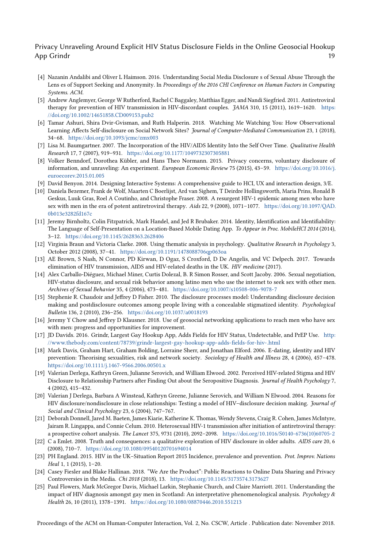- <span id="page-18-9"></span>[4] Nazanin Andalibi and Oliver L Haimson. 2016. Understanding Social Media Disclosure s of Sexual Abuse Through the Lens es of Support Seeking and Anonymity. In Proceedings of the 2016 CHI Conference on Human Factors in Computing Systems. ACM.
- <span id="page-18-7"></span>[5] Andrew Anglemyer, George W Rutherford, Rachel C Baggaley, Matthias Egger, and Nandi Siegfried. 2011. Antiretroviral therapy for prevention of HIV transmission in HIV-discordant couples. JAMA 310, 15 (2011), 1619–1620. [https:](https://doi.org/10.1002/14651858.CD009153.pub2) [//doi.org/10.1002/14651858.CD009153.pub2](https://doi.org/10.1002/14651858.CD009153.pub2)
- <span id="page-18-21"></span>[6] Tamar Ashuri, Shira Dvir-Gvisman, and Ruth Halperin. 2018. Watching Me Watching You: How Observational Learning Affects Self-disclosure on Social Network Sites? Journal of Computer-Mediated Communication 23, 1 (2018), 34–68. <https://doi.org/10.1093/jcmc/zmx003>
- <span id="page-18-1"></span>[7] Lisa M. Baumgartner. 2007. The Incorporation of the HIV/AIDS Identity Into the Self Over Time. Qualitative Health Research 17, 7 (2007), 919–931. <https://doi.org/10.1177/1049732307305881>
- <span id="page-18-16"></span>[8] Volker Benndorf, Dorothea Kübler, and Hans Theo Normann. 2015. Privacy concerns, voluntary disclosure of information, and unraveling: An experiment. European Economic Review 75 (2015), 43–59. [https://doi.org/10.1016/j.](https://doi.org/10.1016/j.euroecorev.2015.01.005) [euroecorev.2015.01.005](https://doi.org/10.1016/j.euroecorev.2015.01.005)
- <span id="page-18-2"></span>[9] David Benyon. 2014. Designing Interactive Systems: A comprehensive guide to HCI, UX and interaction design, 3/E.
- <span id="page-18-6"></span>[10] Daniela Bezemer, Frank de Wolf, Maarten C Boerlijst, Ard van Sighem, T Deirdre Hollingsworth, Maria Prins, Ronald B Geskus, Luuk Gras, Roel A Coutinho, and Christophe Fraser. 2008. A resurgent HIV-1 epidemic among men who have sex with men in the era of potent antiretroviral therapy. Aids 22, 9 (2008), 1071–1077. [https://doi.org/10.1097/QAD.](https://doi.org/10.1097/QAD.0b013e3282fd167c) [0b013e3282fd167c](https://doi.org/10.1097/QAD.0b013e3282fd167c)
- <span id="page-18-14"></span>[11] Jeremy Birnholtz, Colin Fitzpatrick, Mark Handel, and Jed R Brubaker. 2014. Identity, Identification and Identifiability: The Language of Self-Presentation on a Location-Based Mobile Dating App. To Appear in Proc. MobileHCI 2014 (2014), 3–12. <https://doi.org/10.1145/2628363.2628406>
- <span id="page-18-18"></span>[12] Virginia Braun and Victoria Clarke. 2008. Using thematic analysis in psychology. Qualitative Research in Psychology 3, October 2012 (2008), 37–41. <https://doi.org/10.1191/1478088706qp063oa>
- <span id="page-18-4"></span>[13] AE Brown, S Nash, N Connor, PD Kirwan, D Ogaz, S Croxford, D De Angelis, and VC Delpech. 2017. Towards elimination of HIV transmission, AIDS and HIV-related deaths in the UK. HIV medicine (2017).
- <span id="page-18-13"></span>[14] Alex Carballo-Diéguez, Michael Miner, Curtis Dolezal, B. R Simon Rosser, and Scott Jacoby. 2006. Sexual negotiation, HIV-status disclosure, and sexual risk behavior among latino men who use the internet to seek sex with other men. Archives of Sexual Behavior 35, 4 (2006), 473–481. <https://doi.org/10.1007/s10508-006-9078-7>
- <span id="page-18-11"></span>[15] Stephenie R. Chaudoir and Jeffrey D Fisher. 2010. The disclosure processes model: Understanding disclosure decision making and postdisclosure outcomes among people living with a concealable stigmatized identity. Psychological Bulletin 136, 2 (2010), 236–256. <https://doi.org/10.1037/a0018193>
- <span id="page-18-0"></span>[16] Jeremy Y Chow and Jeffrey D Klausner. 2018. Use of geosocial networking applications to reach men who have sex with men: progress and opportunities for improvement.
- <span id="page-18-3"></span>[17] JD Davids. 2016. Grindr, Largest Gay Hookup App, Adds Fields for HIV Status, Undetectable, and PrEP Use. [http:](http://www.thebody.com/content/78739/grindr-largest-gay-hookup-app-adds-fields-for-hiv-.html) [//www.thebody.com/content/78739/grindr-largest-gay-hookup-app-adds-fields-for-hiv-.html](http://www.thebody.com/content/78739/grindr-largest-gay-hookup-app-adds-fields-for-hiv-.html)
- <span id="page-18-19"></span>[18] Mark Davis, Graham Hart, Graham Bolding, Lorraine Sherr, and Jonathan Elford. 2006. E-dating, identity and HIV prevention: Theorising sexualities, risk and network society. Sociology of Health and Illness 28, 4 (2006), 457-478. <https://doi.org/10.1111/j.1467-9566.2006.00501.x>
- <span id="page-18-12"></span>[19] Valerian Derlega, Kathryn Green, Julianne Serovich, and William Elwood. 2002. Perceived HIV-related Stigma and HIV Disclosure to Relationship Partners after Finding Out about the Seropositive Diagnosis. Journal of Health Psychology 7, 4 (2002), 415–432.
- <span id="page-18-10"></span>[20] Valerian J Derlega, Barbara A Winstead, Kathryn Greene, Julianne Serovich, and William N Elwood. 2004. Reasons for HIV disclosure/nondisclosure in close relationships: Testing a model of HIV–disclosure decision making. Journal of Social and Clinical Psychology 23, 6 (2004), 747–767.
- <span id="page-18-8"></span>[21] Deborah Donnell, Jared M. Baeten, James Kiarie, Katherine K. Thomas, Wendy Stevens, Craig R. Cohen, James McIntyre, Jairam R. Lingappa, and Connie Celum. 2010. Heterosexual HIV-1 transmission after initiation of antiretroviral therapy: a prospective cohort analysis. The Lancet 375, 9731 (2010), 2092–2098. [https://doi.org/10.1016/S0140-6736\(10\)60705-2](https://doi.org/10.1016/S0140-6736(10)60705-2)
- <span id="page-18-20"></span>[22] C a Emlet. 2008. Truth and consequences: a qualitative exploration of HIV disclosure in older adults. AIDS care 20, 6 (2008), 710–7. <https://doi.org/10.1080/09540120701694014>
- <span id="page-18-5"></span>[23] PH England. 2015. HIV in the UK–Situation Report 2015 Incidence, prevalence and prevention. Prot. Improv. Nations Heal 1, 1 (2015), 1–20.
- <span id="page-18-17"></span>[24] Casey Fiesler and Blake Hallinan. 2018. "We Are the Product": Public Reactions to Online Data Sharing and Privacy Controversies in the Media. Chi 2018 (2018), 13. <https://doi.org/10.1145/3173574.3173627>
- <span id="page-18-15"></span>[25] Paul Flowers, Mark McGregor Davis, Michael Larkin, Stephanie Church, and Claire Marriott. 2011. Understanding the impact of HIV diagnosis amongst gay men in Scotland: An interpretative phenomenological analysis. Psychology  $\&$ Health 26, 10 (2011), 1378–1391. <https://doi.org/10.1080/08870446.2010.551213>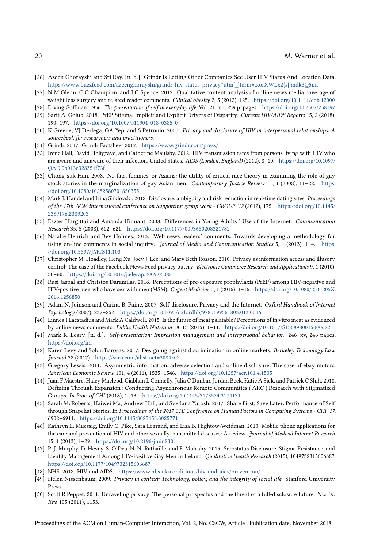- <span id="page-19-1"></span>[26] Azeen Ghorayshi and Sri Ray. [n. d.]. Grindr Is Letting Other Companies See User HIV Status And Location Data. [https://www.buzzfeed.com/azeenghorayshi/grindr-hiv-status-privacy?utm{\\_}term=.xorXWLx2{#}.mdk3Q5ml](https://www.buzzfeed.com/azeenghorayshi/grindr-hiv-status-privacy?utm{_}term=.xorXWLx2{#}.mdk3Q5ml)
- <span id="page-19-14"></span>[27] N M Glenn, C C Champion, and J C Spence. 2012. Qualitative content analysis of online news media coverage of weight loss surgery and related reader comments. Clinical obesity 2, 5 (2012), 125. <https://doi.org/10.1111/cob.12000>
- <span id="page-19-20"></span>[28] Erving Goffman. 1956. The presentation of self in everyday life. Vol. 21. xii, 259 p. pages. <https://doi.org/10.2307/258197>
- <span id="page-19-9"></span>[29] Sarit A. Golub. 2018. PrEP Stigma: Implicit and Explicit Drivers of Disparity. Current HIV/AIDS Reports 15, 2 (2018), 190–197. <https://doi.org/10.1007/s11904-018-0385-0>
- <span id="page-19-7"></span>[30] K Greene, VJ Derlega, GA Yep, and S Petronio. 2003. Privacy and disclosure of HIV in interpersonal relationships: A sourcebook for researchers and practitioners.
- <span id="page-19-2"></span>[31] Grindr. 2017. Grindr Factsheet 2017. <https://www.grindr.com/press/>
- <span id="page-19-4"></span>[32] Irene Hall, David Holtgrave, and Catherine Maulsby. 2012. HIV transmission rates from persons living with HIV who are aware and unaware of their infection, United States. AIDS (London, England) (2012), 8–10. [https://doi.org/10.1097/](https://doi.org/10.1097/QAD.0b013e328351f73f) [QAD.0b013e328351f73f](https://doi.org/10.1097/QAD.0b013e328351f73f)
- <span id="page-19-22"></span>[33] Chong-suk Han. 2008. No fats, femmes, or Asians: the utility of critical race theory in examining the role of gay stock stories in the marginalization of gay Asian men. Contemporary Justice Review 11, 1 (2008), 11–22. [https:](https://doi.org/10.1080/10282580701850355) [//doi.org/10.1080/10282580701850355](https://doi.org/10.1080/10282580701850355)
- <span id="page-19-21"></span>[34] Mark J. Handel and Irina Shklovski. 2012. Disclosure, ambiguity and risk reduction in real-time dating sites. Proceedings of the 17th ACM international conference on Supporting group work - GROUP '12 (2012), 175. [https://doi.org/10.1145/](https://doi.org/10.1145/2389176.2389203) [2389176.2389203](https://doi.org/10.1145/2389176.2389203)
- <span id="page-19-24"></span>[35] Eszter Hargittai and Amanda Hinnant. 2008. Differences in Young Adults ' Use of the Internet. Communication Research 35, 5 (2008), 602–621. <https://doi.org/10.1177/0093650208321782>
- <span id="page-19-17"></span>[36] Natalie Henrich and Bev Holmes. 2013. Web news readers' comments: Towards developing a methodology for using on-line comments in social inquiry. Journal of Media and Communication Studies 5, 1 (2013), 1-4. [https:](https://doi.org/10.5897/JMCS11.103) [//doi.org/10.5897/JMCS11.103](https://doi.org/10.5897/JMCS11.103)
- <span id="page-19-18"></span>[37] Christopher M. Hoadley, Heng Xu, Joey J. Lee, and Mary Beth Rosson. 2010. Privacy as information access and illusory control: The case of the Facebook News Feed privacy outcry. Electronic Commerce Research and Applications 9, 1 (2010), 50–60. <https://doi.org/10.1016/j.elerap.2009.05.001>
- <span id="page-19-10"></span>[38] Rusi Jaspal and Christos Daramilas. 2016. Perceptions of pre-exposure prophylaxis (PrEP) among HIV-negative and HIV-positive men who have sex with men (MSM). Cogent Medicine 3, 1 (2016), 1–16. [https://doi.org/10.1080/2331205X.](https://doi.org/10.1080/2331205X.2016.1256850) [2016.1256850](https://doi.org/10.1080/2331205X.2016.1256850)
- <span id="page-19-11"></span>[39] Adam N. Joinson and Carina B. Paine. 2007. Self-disclosure, Privacy and the Internet. Oxford Handbook of Internet Psychology (2007), 237–252. <https://doi.org/10.1093/oxfordhb/9780199561803.013.0016>
- <span id="page-19-15"></span>[40] Linnea I Laestadius and Mark A Caldwell. 2015. Is the future of meat palatable? Perceptions of in vitro meat as evidenced by online news comments. Public Health Nutrition 18, 13 (2015), 1–11. <https://doi.org/10.1017/S1368980015000622>
- <span id="page-19-12"></span>[41] Mark R. Leary. [n. d.]. Self-presentation: Impression management and interpersonal behavior. 246–xv, 246 pages. <https://doi.org/im>
- <span id="page-19-23"></span>[42] Karen Levy and Solon Barocas. 2017. Designing against discrimination in online markets. Berkeley Technology Law Journal 32 (2017). <https://ssrn.com/abstract=3084502>
- <span id="page-19-13"></span>[43] Gregory Lewis. 2011. Asymmetric information, adverse selection and online disclosure: The case of ebay motors. American Economic Review 101, 4 (2011), 1535–1546. <https://doi.org/10.1257/aer.101.4.1535>
- <span id="page-19-16"></span>[44] Juan F Maestre, Haley Macleod, Ciabhan L Connelly, Julia C Dunbar, Jordan Beck, Katie A Siek, and Patrick C Shih. 2018. Defining Through Expansion : Conducting Asynchronous Remote Communities ( ARC ) Research with Stigmatized Groups. In Proc. of CHI (2018), 1–13. <https://doi.org/10.1145/3173574.3174131>
- <span id="page-19-8"></span>[45] Sarah McRoberts, Haiwei Ma, Andrew Hall, and Svetlana Yarosh. 2017. Share First, Save Later: Performance of Self through Snapchat Stories. In Proceedings of the 2017 CHI Conference on Human Factors in Computing Systems - CHI '17. 6902–6911. <https://doi.org/10.1145/3025453.3025771>
- <span id="page-19-0"></span>[46] Kathryn E. Muessig, Emily C. Pike, Sara Legrand, and Lisa B. Hightow-Weidman. 2013. Mobile phone applications for the care and prevention of HIV and other sexually transmitted diseases: A review. Journal of Medical Internet Research 15, 1 (2013), 1–29. <https://doi.org/10.2196/jmir.2301>
- <span id="page-19-6"></span>[47] P. J. Murphy, D. Hevey, S. O'Dea, N. Ni Rathaille, and F. Mulcahy. 2015. Serostatus Disclosure, Stigma Resistance, and Identity Management Among HIV-Positive Gay Men in Ireland. Qualitative Health Research (2015), 1049732315606687. <https://doi.org/10.1177/1049732315606687>
- <span id="page-19-5"></span>[48] NHS. 2018. HIV and AIDS. <https://www.nhs.uk/conditions/hiv-and-aids/prevention/>
- <span id="page-19-19"></span>[49] Helen Nissenbaum. 2009. Privacy in context: Technology, policy, and the integrity of social life. Stanford University Press.
- <span id="page-19-3"></span>[50] Scott R Peppet. 2011. Unraveling privacy: The personal prospectus and the threat of a full-disclosure future. Nw. UL Rev. 105 (2011), 1153.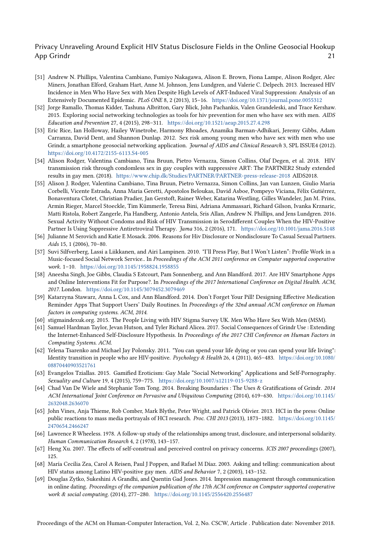# Privacy Unraveling Around Explicit HIV Status Disclosure Fields in the Online Geosocial Hookup App Grindr 21 and 21 and 22 and 22 and 22 and 22 and 22 and 22 and 22 and 22 and 22 and 22 and 22 and 22 and 22 and 22 and 22 and 22 and 22 and 22 and 22 and 22 and 22 and 22 and 22 and 22 and 22 and 22 and 22 and 22 and 2

- <span id="page-20-6"></span>[51] Andrew N. Phillips, Valentina Cambiano, Fumiyo Nakagawa, Alison E. Brown, Fiona Lampe, Alison Rodger, Alec Miners, Jonathan Elford, Graham Hart, Anne M. Johnson, Jens Lundgren, and Valerie C. Delpech. 2013. Increased HIV Incidence in Men Who Have Sex with Men Despite High Levels of ART-Induced Viral Suppression: Analysis of an Extensively Documented Epidemic. PLoS ONE 8, 2 (2013), 15–16. <https://doi.org/10.1371/journal.pone.0055312>
- <span id="page-20-17"></span>[52] Jorge Ramallo, Thomas Kidder, Tashuna Albritton, Gary Blick, John Pachankis, Valen Grandeleski, and Trace Kershaw. 2015. Exploring social networking technologies as tools for hiv prevention for men who have sex with men. AIDS Education and Prevention 27, 4 (2015), 298–311. <https://doi.org/10.1521/aeap.2015.27.4.298>
- <span id="page-20-4"></span>[53] Eric Rice, Ian Holloway, Hailey Winetrobe, Harmony Rhoades, Anamika Barman-Adhikari, Jeremy Gibbs, Adam Carranza, David Dent, and Shannon Dunlap. 2012. Sex risk among young men who have sex with men who use Grindr, a smartphone geosocial networking application. *Journal of AIDS and Clinical Research* 3, SPL ISSUE4 (2012). <https://doi.org/10.4172/2155-6113.S4-005>
- <span id="page-20-7"></span>[54] Alison Rodger, Valentina Cambiano, Tina Bruun, Pietro Vernazza, Simon Collins, Olaf Degen, et al. 2018. HIV transmission risk through condomless sex in gay couples with suppressive ART: The PARTNER2 Study extended results in gay men. (2018). <https://www.chip.dk/Studies/PARTNER/PARTNER-press-release-2018> AIDS2018.
- <span id="page-20-8"></span>[55] Alison J. Rodger, Valentina Cambiano, Tina Bruun, Pietro Vernazza, Simon Collins, Jan van Lunzen, Giulio Maria Corbelli, Vicente Estrada, Anna Maria Geretti, Apostolos Beloukas, David Asboe, Pompeyo Viciana, Félix Gutiérrez, Bonaventura Clotet, Christian Pradier, Jan Gerstoft, Rainer Weber, Katarina Westling, Gilles Wandeler, Jan M. Prins, Armin Rieger, Marcel Stoeckle, Tim Kümmerle, Teresa Bini, Adriana Ammassari, Richard Gilson, Ivanka Krznaric, Matti Ristola, Robert Zangerle, Pia Handberg, Antonio Antela, Sris Allan, Andrew N. Phillips, and Jens Lundgren. 2016. Sexual Activity Without Condoms and Risk of HIV Transmission in Serodifferent Couples When the HIV-Positive Partner Is Using Suppressive Antiretroviral Therapy. Jama 316, 2 (2016), 171. <https://doi.org/10.1001/jama.2016.5148>
- <span id="page-20-11"></span>[56] Julianne M Serovich and Katie E Mosack. 2006. Reasons for Hiv Disclosure or Nondisclosure To Casual Sexual Partners. Aids 15, 1 (2006), 70–80.
- <span id="page-20-12"></span>[57] Suvi Silfverberg, Lassi a Liikkanen, and Airi Lampinen. 2010. "I'll Press Play, But I Won't Listen": Profile Work in a Music-focused Social Network Service.. In Proceedings of the ACM 2011 conference on Computer supported cooperative work. 1–10. <https://doi.org/10.1145/1958824.1958855>
- <span id="page-20-0"></span>[58] Aneesha Singh, Joe Gibbs, Claudia S Estcourt, Pam Sonnenberg, and Ann Blandford. 2017. Are HIV Smartphone Apps and Online Interventions Fit for Purpose?. In Proceedings of the 2017 International Conference on Digital Health. ACM, 2017. London. <https://doi.org/10.1145/3079452.3079469>
- <span id="page-20-14"></span>[59] Katarzyna Stawarz, Anna L Cox, and Ann Blandford. 2014. Don't Forget Your Pill! Designing Effective Medication Reminder Apps That Support Users' Daily Routines. In Proceedings of the 32nd annual ACM conference on Human factors in computing systems. ACM, 2014.
- <span id="page-20-2"></span>[60] stigmaindexuk.org. 2015. The People Living with HIV Stigma Survey UK. Men Who Have Sex With Men (MSM).
- <span id="page-20-3"></span>[61] Samuel Hardman Taylor, Jevan Hutson, and Tyler Richard Alicea. 2017. Social Consequences of Grindr Use : Extending the Internet-Enhanced Self-Disclosure Hypothesis. In Proceedings of the 2017 CHI Conference on Human Factors in Computing Systems. ACM.
- <span id="page-20-1"></span>[62] Yelena Tsarenko and Michael Jay Polonsky. 2011. "You can spend your life dying or you can spend your life living": Identity transition in people who are HIV-positive. Psychology & Health 26, 4 (2011), 465–483. [https://doi.org/10.1080/](https://doi.org/10.1080/08870440903521761) [08870440903521761](https://doi.org/10.1080/08870440903521761)
- <span id="page-20-18"></span>[63] Evangelos Tziallas. 2015. Gamified Eroticism: Gay Male "Social Networking" Applications and Self-Pornography. Sexuality and Culture 19, 4 (2015), 759–775. <https://doi.org/10.1007/s12119-015-9288-z>
- <span id="page-20-5"></span>[64] Chad Van De Wiele and Stephanie Tom Tong. 2014. Breaking Boundaries : The Uses & Gratifications of Grindr. 2014 ACM International Joint Conference on Pervasive and Ubiquitous Computing (2014), 619–630. [https://doi.org/10.1145/](https://doi.org/10.1145/2632048.2636070) [2632048.2636070](https://doi.org/10.1145/2632048.2636070)
- <span id="page-20-13"></span>[65] John Vines, Anja Thieme, Rob Comber, Mark Blythe, Peter Wright, and Patrick Olivier. 2013. HCI in the press: Online public reactions to mass media portrayals of HCI research. Proc. CHI 2013 (2013), 1873–1882. [https://doi.org/10.1145/](https://doi.org/10.1145/2470654.2466247) [2470654.2466247](https://doi.org/10.1145/2470654.2466247)
- <span id="page-20-9"></span>[66] Lawrence R Wheeless. 1978. A follow-up study of the relationships among trust, disclosure, and interpersonal solidarity. Human Communication Research 4, 2 (1978), 143–157.
- <span id="page-20-15"></span>[67] Heng Xu. 2007. The effects of self-construal and perceived control on privacy concerns. ICIS 2007 proceedings (2007), 125.
- <span id="page-20-10"></span>[68] María Cecilia Zea, Carol A Reisen, Paul J Poppen, and Rafael M Díaz. 2003. Asking and telling: communication about HIV status among Latino HIV-positive gay men. AIDS and Behavior 7, 2 (2003), 143–152.
- <span id="page-20-16"></span>[69] Douglas Zytko, Sukeshini A Grandhi, and Quentin Gad Jones. 2014. Impression management through communication in online dating. Proceedings of the companion publication of the 17th ACM conference on Computer supported cooperative work & social computing. (2014), 277–280. <https://doi.org/10.1145/2556420.2556487>